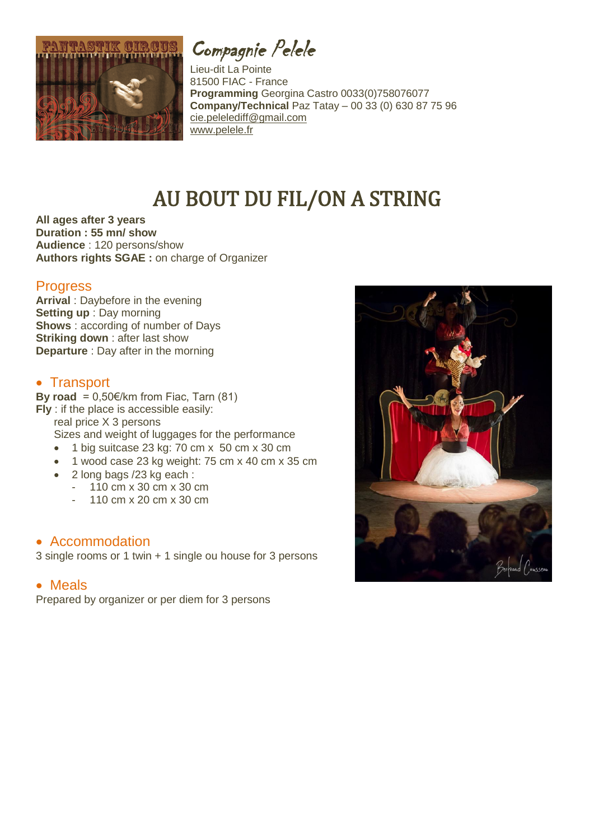

Compagnie Pelele

Lieu-dit La Pointe 81500 FIAC - France **Programming** Georgina Castro 0033(0)758076077 **Company/Technical** Paz Tatay – 00 33 (0) 630 87 75 96 [cie.pelelediff@gmail.com](mailto:cie.pelelediff@gmail.com) [www.pelele.fr](http://www.pelele.fr/)

# AU BOUT DU FIL/ON A STRING

**All ages after 3 years Duration : 55 mn/ show Audience** : 120 persons/show **Authors rights SGAE :** on charge of Organizer

### **Progress**

**Arrival** : Daybefore in the evening **Setting up** : Day morning **Shows** : according of number of Days **Striking down** : after last show **Departure** : Day after in the morning

## • Transport

**By road** =  $0.50 \in \times$  from Fiac, Tarn (81) **Fly** : if the place is accessible easily: real price X 3 persons Sizes and weight of luggages for the performance

- $\bullet$  1 big suitcase 23 kg: 70 cm x 50 cm x 30 cm
- 1 wood case 23 kg weight: 75 cm x 40 cm x 35 cm
- 2 long bags /23 kg each :
	- 110 cm x 30 cm x 30 cm
	- 110 cm x 20 cm x 30 cm

### Accommodation

3 single rooms or 1 twin + 1 single ou house for 3 persons

#### Meals

Prepared by organizer or per diem for 3 persons

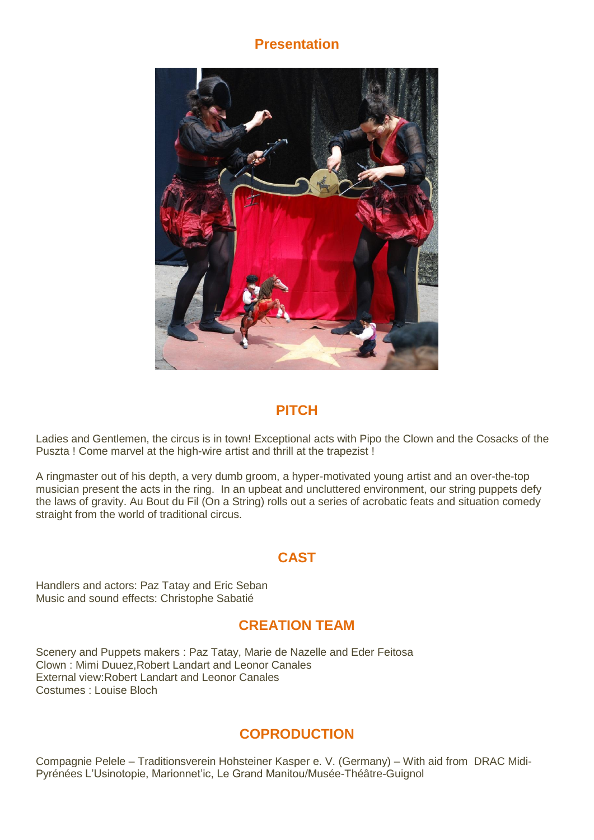# **Presentation**



# **PITCH**

Ladies and Gentlemen, the circus is in town! Exceptional acts with Pipo the Clown and the Cosacks of the Puszta ! Come marvel at the high-wire artist and thrill at the trapezist !

A ringmaster out of his depth, a very dumb groom, a hyper-motivated young artist and an over-the-top musician present the acts in the ring. In an upbeat and uncluttered environment, our string puppets defy the laws of gravity. Au Bout du Fil (On a String) rolls out a series of acrobatic feats and situation comedy straight from the world of traditional circus.

# **CAST**

Handlers and actors: Paz Tatay and Eric Seban Music and sound effects: Christophe Sabatié

# **CREATION TEAM**

Scenery and Puppets makers : Paz Tatay, Marie de Nazelle and Eder Feitosa Clown : Mimi Duuez,Robert Landart and Leonor Canales External view:Robert Landart and Leonor Canales Costumes : Louise Bloch

# **COPRODUCTION**

Compagnie Pelele – Traditionsverein Hohsteiner Kasper e. V. (Germany) – With aid from DRAC Midi-Pyrénées L'Usinotopie, Marionnet'ic, Le Grand Manitou/Musée-Théâtre-Guignol